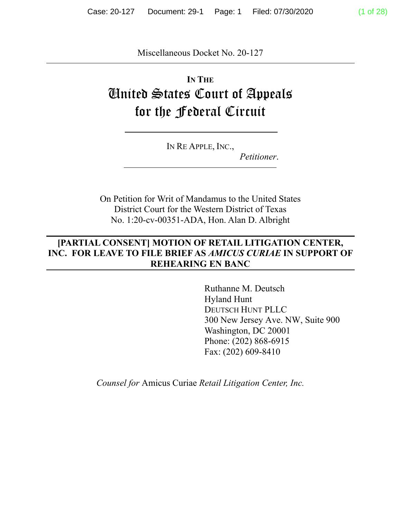Miscellaneous Docket No. 20-127

# **IN THE** United States Court of Appeals for the Federal Circuit

IN RE APPLE, INC.,

*Petitioner*.

On Petition for Writ of Mandamus to the United States District Court for the Western District of Texas No. 1:20-cv-00351-ADA, Hon. Alan D. Albright

# **[PARTIAL CONSENT] MOTION OF RETAIL LITIGATION CENTER, INC. FOR LEAVE TO FILE BRIEF AS** *AMICUS CURIAE* **IN SUPPORT OF REHEARING EN BANC**

Ruthanne M. Deutsch Hyland Hunt DEUTSCH HUNT PLLC 300 New Jersey Ave. NW, Suite 900 Washington, DC 20001 Phone: (202) 868-6915 Fax: (202) 609-8410

*Counsel for* Amicus Curiae *Retail Litigation Center, Inc.*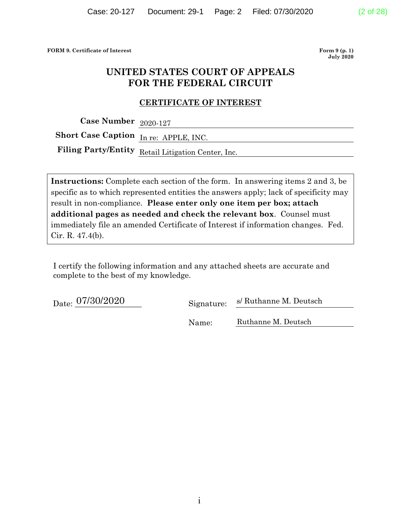**FORM 9. Certificate of Interest Form 9 (p. 1)** 

**July 2020**

# **UNITED STATES COURT OF APPEALS FOR THE FEDERAL CIRCUIT**

### **CERTIFICATE OF INTEREST**

**Case Number** 2020-127

**Short Case Caption** In re: APPLE, INC.

Filing Party/Entity Retail Litigation Center, Inc.

**Instructions:** Complete each section of the form. In answering items 2 and 3, be specific as to which represented entities the answers apply; lack of specificity may result in non-compliance. **Please enter only one item per box; attach additional pages as needed and check the relevant box**. Counsel must immediately file an amended Certificate of Interest if information changes. Fed. Cir. R. 47.4(b). **EXECTS COMPLET ASSET ASSET ASSET ASSET ASSET ASSET ASSET ASSET AND ASSET ASSET ASSET ASSOCIATE AND DRIGHT AND DRIGHT AND DRIGHT AND DRIGHT AND AND PAGE AND AND PAGE AND ATA(b).**<br>The an amended Certificate of Interest if i

I certify the following information and any attached sheets are accurate and complete to the best of my knowledge.

Date:  $\frac{07/30/2020}{20}$  Signature:

Name: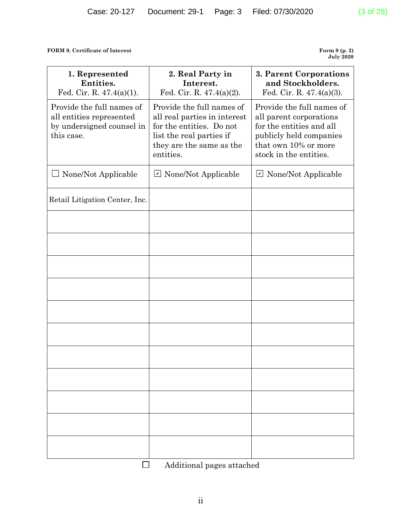#### **FORM 9. Certificate of Interest Form 9 (p. 2)**

**July 2020**

| 1. Represented<br>Entities.<br>Fed. Cir. R. $47.4(a)(1)$ .                                       | 2. Real Party in<br>Interest.<br>Fed. Cir. R. 47.4(a)(2).                                                                                                  | 3. Parent Corporations<br>and Stockholders.<br>Fed. Cir. R. $47.4(a)(3)$ .                                                                                    |  |
|--------------------------------------------------------------------------------------------------|------------------------------------------------------------------------------------------------------------------------------------------------------------|---------------------------------------------------------------------------------------------------------------------------------------------------------------|--|
| Provide the full names of<br>all entities represented<br>by undersigned counsel in<br>this case. | Provide the full names of<br>all real parties in interest<br>for the entities. Do not<br>list the real parties if<br>they are the same as the<br>entities. | Provide the full names of<br>all parent corporations<br>for the entities and all<br>publicly held companies<br>that own 10% or more<br>stock in the entities. |  |
| None/Not Applicable                                                                              | $\triangleright$ None/Not Applicable                                                                                                                       | $\triangleright$ None/Not Applicable                                                                                                                          |  |
| Retail Litigation Center, Inc.                                                                   |                                                                                                                                                            |                                                                                                                                                               |  |
|                                                                                                  |                                                                                                                                                            |                                                                                                                                                               |  |
|                                                                                                  |                                                                                                                                                            |                                                                                                                                                               |  |
|                                                                                                  |                                                                                                                                                            |                                                                                                                                                               |  |
|                                                                                                  |                                                                                                                                                            |                                                                                                                                                               |  |
|                                                                                                  |                                                                                                                                                            |                                                                                                                                                               |  |
|                                                                                                  |                                                                                                                                                            |                                                                                                                                                               |  |
|                                                                                                  |                                                                                                                                                            |                                                                                                                                                               |  |
|                                                                                                  |                                                                                                                                                            |                                                                                                                                                               |  |
|                                                                                                  |                                                                                                                                                            |                                                                                                                                                               |  |
|                                                                                                  |                                                                                                                                                            |                                                                                                                                                               |  |
|                                                                                                  |                                                                                                                                                            |                                                                                                                                                               |  |
| Additional pages attached                                                                        |                                                                                                                                                            |                                                                                                                                                               |  |

Additional pages attached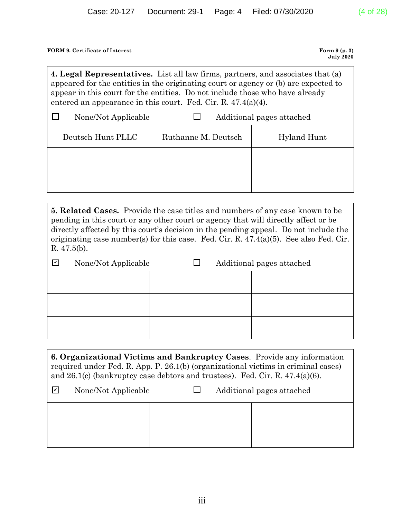### **FORM 9. Certificate of Interest Form 9 (p. 3)**

**July 2020**

**4. Legal Representatives.** List all law firms, partners, and associates that (a) appeared for the entities in the originating court or agency or (b) are expected to appear in this court for the entities. Do not include those who have already entered an appearance in this court. Fed. Cir. R. 47.4(a)(4).

| None/Not Applicable | $\mathbf{1}$        | Additional pages attached |
|---------------------|---------------------|---------------------------|
| Deutsch Hunt PLLC   | Ruthanne M. Deutsch | Hyland Hunt               |
|                     |                     |                           |
|                     |                     |                           |

**5. Related Cases.** Provide the case titles and numbers of any case known to be pending in this court or any other court or agency that will directly affect or be directly affected by this court's decision in the pending appeal. Do not include the originating case number(s) for this case. Fed. Cir. R. 47.4(a)(5). See also Fed. Cir. R. 47.5(b).

| $ \mathbf{v} $ | None/Not Applicable |  | Additional pages attached |
|----------------|---------------------|--|---------------------------|
|                |                     |  |                           |
|                |                     |  |                           |
|                |                     |  |                           |
|                |                     |  |                           |
|                |                     |  |                           |
|                |                     |  |                           |

**6. Organizational Victims and Bankruptcy Cases**. Provide any information required under Fed. R. App. P. 26.1(b) (organizational victims in criminal cases) and 26.1(c) (bankruptcy case debtors and trustees). Fed. Cir. R. 47.4(a)(6).

| $\vert\mathbf{v}\vert$ | None/Not Applicable |  | Additional pages attached |
|------------------------|---------------------|--|---------------------------|
|                        |                     |  |                           |
|                        |                     |  |                           |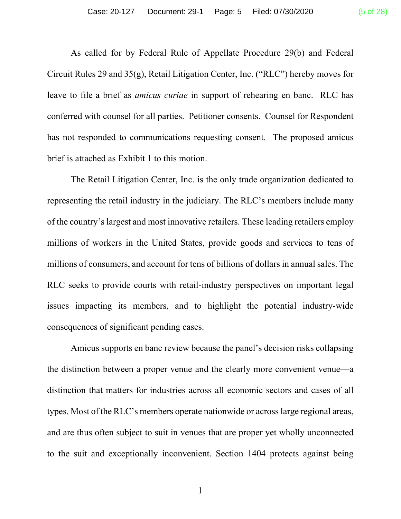As called for by Federal Rule of Appellate Procedure 29(b) and Federal Circuit Rules 29 and 35(g), Retail Litigation Center, Inc. ("RLC") hereby moves for leave to file a brief as *amicus curiae* in support of rehearing en banc. RLC has conferred with counsel for all parties. Petitioner consents. Counsel for Respondent has not responded to communications requesting consent. The proposed amicus brief is attached as Exhibit 1 to this motion.

The Retail Litigation Center, Inc. is the only trade organization dedicated to representing the retail industry in the judiciary. The RLC's members include many of the country's largest and most innovative retailers. These leading retailers employ millions of workers in the United States, provide goods and services to tens of millions of consumers, and account for tens of billions of dollars in annual sales. The RLC seeks to provide courts with retail-industry perspectives on important legal issues impacting its members, and to highlight the potential industry-wide consequences of significant pending cases.

Amicus supports en banc review because the panel's decision risks collapsing the distinction between a proper venue and the clearly more convenient venue—a distinction that matters for industries across all economic sectors and cases of all types. Most of the RLC's members operate nationwide or across large regional areas, and are thus often subject to suit in venues that are proper yet wholly unconnected to the suit and exceptionally inconvenient. Section 1404 protects against being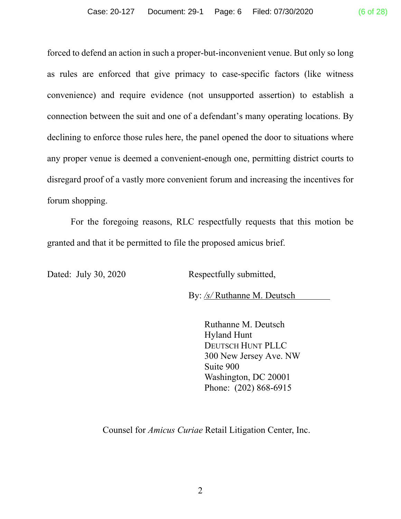forced to defend an action in such a proper-but-inconvenient venue. But only so long as rules are enforced that give primacy to case-specific factors (like witness convenience) and require evidence (not unsupported assertion) to establish a connection between the suit and one of a defendant's many operating locations. By declining to enforce those rules here, the panel opened the door to situations where any proper venue is deemed a convenient-enough one, permitting district courts to disregard proof of a vastly more convenient forum and increasing the incentives for forum shopping.

For the foregoing reasons, RLC respectfully requests that this motion be granted and that it be permitted to file the proposed amicus brief.

Dated: July 30, 2020 Respectfully submitted,

By: */s/* Ruthanne M. Deutsch

Ruthanne M. Deutsch Hyland Hunt DEUTSCH HUNT PLLC 300 New Jersey Ave. NW Suite 900 Washington, DC 20001 Phone: (202) 868-6915

Counsel for *Amicus Curiae* Retail Litigation Center, Inc.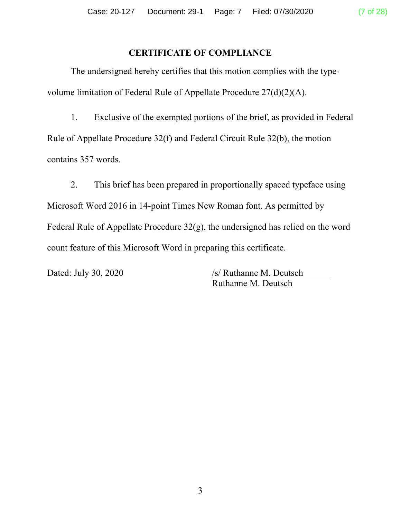## **CERTIFICATE OF COMPLIANCE**

The undersigned hereby certifies that this motion complies with the typevolume limitation of Federal Rule of Appellate Procedure 27(d)(2)(A).

1. Exclusive of the exempted portions of the brief, as provided in Federal Rule of Appellate Procedure 32(f) and Federal Circuit Rule 32(b), the motion contains 357 words.

2. This brief has been prepared in proportionally spaced typeface using Microsoft Word 2016 in 14-point Times New Roman font. As permitted by Federal Rule of Appellate Procedure  $32(g)$ , the undersigned has relied on the word count feature of this Microsoft Word in preparing this certificate.

Dated: July 30, 2020 /s/ Ruthanne M. Deutsch Ruthanne M. Deutsch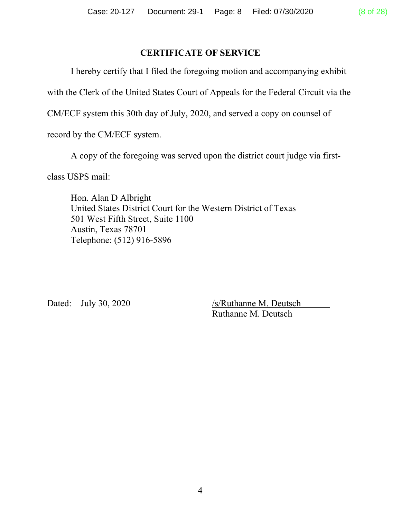## **CERTIFICATE OF SERVICE**

I hereby certify that I filed the foregoing motion and accompanying exhibit

with the Clerk of the United States Court of Appeals for the Federal Circuit via the

CM/ECF system this 30th day of July, 2020, and served a copy on counsel of

record by the CM/ECF system.

A copy of the foregoing was served upon the district court judge via first-

class USPS mail:

Hon. Alan D Albright United States District Court for the Western District of Texas 501 West Fifth Street, Suite 1100 Austin, Texas 78701 Telephone: (512) 916-5896

Dated: July 30, 2020 /s/Ruthanne M. Deutsch Ruthanne M. Deutsch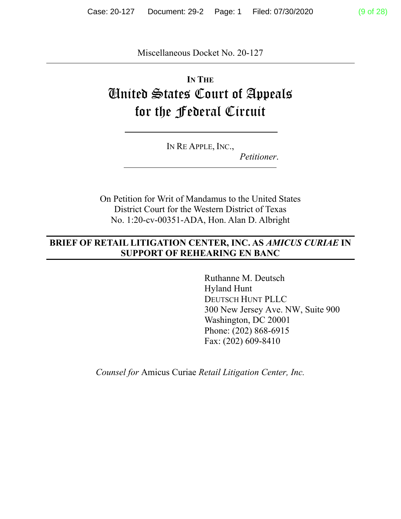Miscellaneous Docket No. 20-127

# **IN THE** United States Court of Appeals for the Federal Circuit

IN RE APPLE, INC.,

*Petitioner*.

On Petition for Writ of Mandamus to the United States District Court for the Western District of Texas No. 1:20-cv-00351-ADA, Hon. Alan D. Albright

# **BRIEF OF RETAIL LITIGATION CENTER, INC. AS** *AMICUS CURIAE* **IN SUPPORT OF REHEARING EN BANC**

Ruthanne M. Deutsch Hyland Hunt DEUTSCH HUNT PLLC 300 New Jersey Ave. NW, Suite 900 Washington, DC 20001 Phone: (202) 868-6915 Fax: (202) 609-8410

*Counsel for* Amicus Curiae *Retail Litigation Center, Inc.*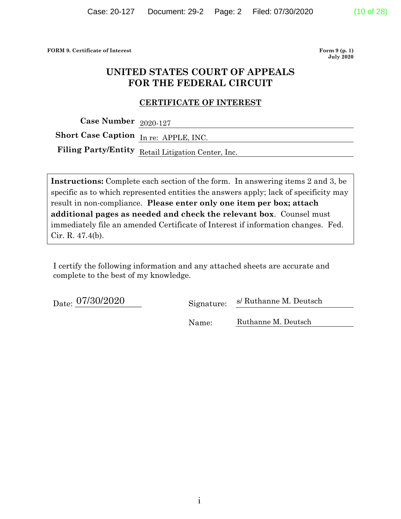**FORM 9. Certificate of Interest Form 9 (p. 1)** 

**July 2020**

# **UNITED STATES COURT OF APPEALS FOR THE FEDERAL CIRCUIT**

### **CERTIFICATE OF INTEREST**

**Case Number** 2020-127

**Short Case Caption** In re: APPLE, INC.

Filing Party/Entity Retail Litigation Center, Inc.

**Instructions:** Complete each section of the form. In answering items 2 and 3, be specific as to which represented entities the answers apply; lack of specificity may result in non-compliance. **Please enter only one item per box; attach additional pages as needed and check the relevant box**. Counsel must immediately file an amended Certificate of Interest if information changes. Fed. Cir. R. 47.4(b). **EXECTS COMPLET ASSET ASSET ASSET ASSET ASSET ASSET ASSET ASSET AND ASSET ASSET ASSET ASSOCIATE AND DRIGHT AND DRIGHT AND DRIGHT AND DRIGHT AND AND PAGE AND AND PAGE AND ATA(b).**<br>The an amended Certificate of Interest if i

I certify the following information and any attached sheets are accurate and complete to the best of my knowledge.

Date:  $\frac{07/30/2020}{20}$  Signature:

Name: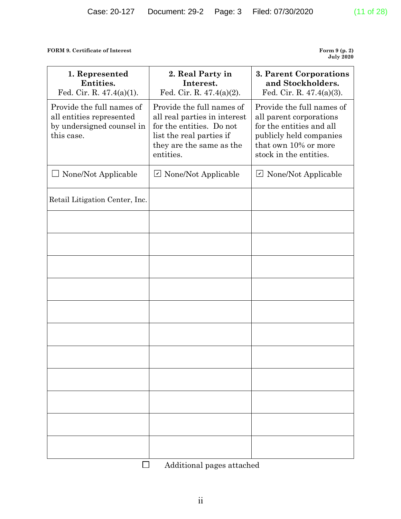#### **FORM 9. Certificate of Interest Form 9 (p. 2)**

**July 2020**

| 1. Represented<br>Entities.<br>Fed. Cir. R. $47.4(a)(1)$ .                                       | 2. Real Party in<br>Interest.<br>Fed. Cir. R. 47.4(a)(2).                                                                                                  | 3. Parent Corporations<br>and Stockholders.<br>Fed. Cir. R. $47.4(a)(3)$ .                                                                                    |  |  |
|--------------------------------------------------------------------------------------------------|------------------------------------------------------------------------------------------------------------------------------------------------------------|---------------------------------------------------------------------------------------------------------------------------------------------------------------|--|--|
| Provide the full names of<br>all entities represented<br>by undersigned counsel in<br>this case. | Provide the full names of<br>all real parties in interest<br>for the entities. Do not<br>list the real parties if<br>they are the same as the<br>entities. | Provide the full names of<br>all parent corporations<br>for the entities and all<br>publicly held companies<br>that own 10% or more<br>stock in the entities. |  |  |
| None/Not Applicable                                                                              | $\Box$ None/Not Applicable                                                                                                                                 | $\triangleright$ None/Not Applicable                                                                                                                          |  |  |
| Retail Litigation Center, Inc.                                                                   |                                                                                                                                                            |                                                                                                                                                               |  |  |
|                                                                                                  |                                                                                                                                                            |                                                                                                                                                               |  |  |
|                                                                                                  |                                                                                                                                                            |                                                                                                                                                               |  |  |
|                                                                                                  |                                                                                                                                                            |                                                                                                                                                               |  |  |
|                                                                                                  |                                                                                                                                                            |                                                                                                                                                               |  |  |
|                                                                                                  |                                                                                                                                                            |                                                                                                                                                               |  |  |
|                                                                                                  |                                                                                                                                                            |                                                                                                                                                               |  |  |
|                                                                                                  |                                                                                                                                                            |                                                                                                                                                               |  |  |
|                                                                                                  |                                                                                                                                                            |                                                                                                                                                               |  |  |
|                                                                                                  |                                                                                                                                                            |                                                                                                                                                               |  |  |
|                                                                                                  |                                                                                                                                                            |                                                                                                                                                               |  |  |
|                                                                                                  |                                                                                                                                                            |                                                                                                                                                               |  |  |
| Additional pages attached                                                                        |                                                                                                                                                            |                                                                                                                                                               |  |  |

Additional pages attached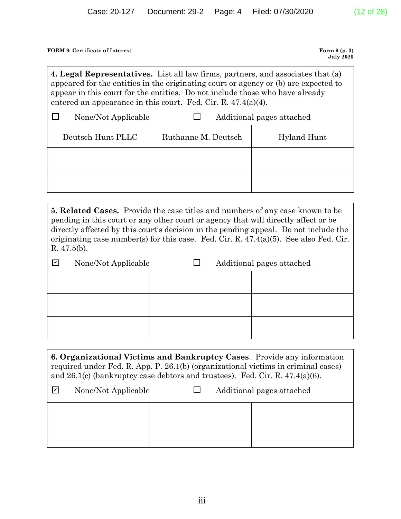#### **FORM 9. Certificate of Interest Form 9 (p. 3)**

**July 2020**

**4. Legal Representatives.** List all law firms, partners, and associates that (a) appeared for the entities in the originating court or agency or (b) are expected to appear in this court for the entities. Do not include those who have already entered an appearance in this court. Fed. Cir. R. 47.4(a)(4).

| None/Not Applicable | $\mathbf{1}$        | Additional pages attached |
|---------------------|---------------------|---------------------------|
| Deutsch Hunt PLLC   | Ruthanne M. Deutsch | Hyland Hunt               |
|                     |                     |                           |
|                     |                     |                           |

**5. Related Cases.** Provide the case titles and numbers of any case known to be pending in this court or any other court or agency that will directly affect or be directly affected by this court's decision in the pending appeal. Do not include the originating case number(s) for this case. Fed. Cir. R. 47.4(a)(5). See also Fed. Cir. R. 47.5(b).

| $\overline{\mathcal{C}}$ | None/Not Applicable | $\mathbf{I}$ | Additional pages attached |
|--------------------------|---------------------|--------------|---------------------------|
|                          |                     |              |                           |
|                          |                     |              |                           |
|                          |                     |              |                           |
|                          |                     |              |                           |
|                          |                     |              |                           |
|                          |                     |              |                           |

**6. Organizational Victims and Bankruptcy Cases**. Provide any information required under Fed. R. App. P. 26.1(b) (organizational victims in criminal cases) and 26.1(c) (bankruptcy case debtors and trustees). Fed. Cir. R. 47.4(a)(6).

| $ \mathcal{V} $ | None/Not Applicable | $\mathbf{I}$ | Additional pages attached |
|-----------------|---------------------|--------------|---------------------------|
|                 |                     |              |                           |
|                 |                     |              |                           |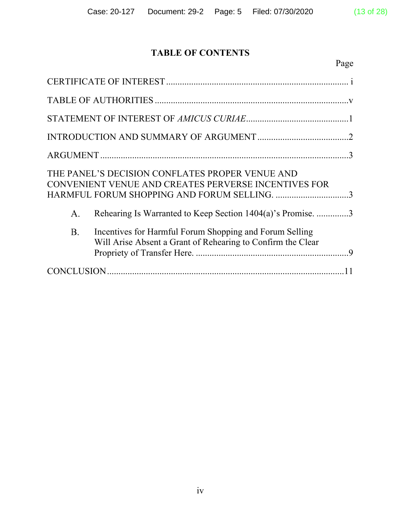# **TABLE OF CONTENTS**

|  |  | Page |
|--|--|------|
|  |  |      |

|           | THE PANEL'S DECISION CONFLATES PROPER VENUE AND<br>CONVENIENT VENUE AND CREATES PERVERSE INCENTIVES FOR<br>HARMFUL FORUM SHOPPING AND FORUM SELLING. 3 |
|-----------|--------------------------------------------------------------------------------------------------------------------------------------------------------|
| А.        | Rehearing Is Warranted to Keep Section 1404(a)'s Promise. 3                                                                                            |
| <b>B.</b> | Incentives for Harmful Forum Shopping and Forum Selling<br>Will Arise Absent a Grant of Rehearing to Confirm the Clear                                 |
|           |                                                                                                                                                        |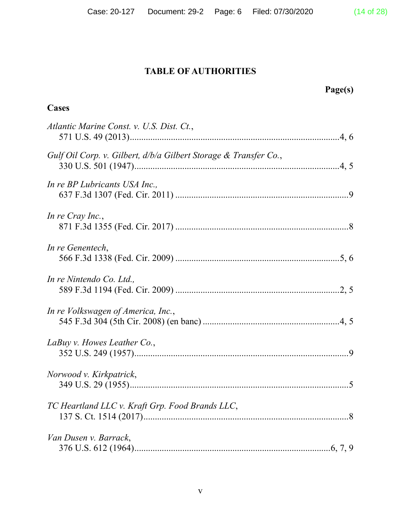# **TABLE OF AUTHORITIES**

# **Page(s)**

# **Cases**

| Atlantic Marine Const. v. U.S. Dist. Ct.,                        |
|------------------------------------------------------------------|
| Gulf Oil Corp. v. Gilbert, d/b/a Gilbert Storage & Transfer Co., |
| In re BP Lubricants USA Inc.,                                    |
| In re Cray Inc.,                                                 |
| In re Genentech,                                                 |
| In re Nintendo Co. Ltd.,                                         |
| In re Volkswagen of America, Inc.,                               |
| LaBuy v. Howes Leather Co.,                                      |
| Norwood v. Kirkpatrick,                                          |
| TC Heartland LLC v. Kraft Grp. Food Brands LLC,                  |
| Van Dusen v. Barrack,                                            |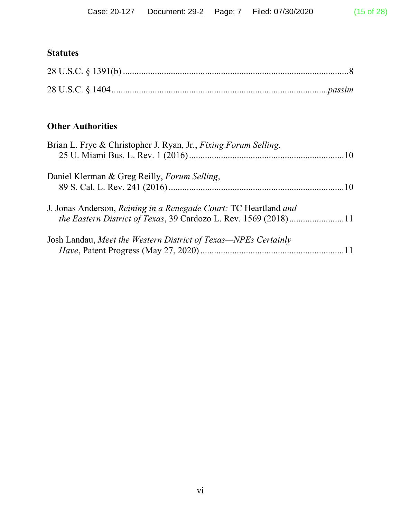# **Statutes**

# **Other Authorities**

| Brian L. Frye & Christopher J. Ryan, Jr., Fixing Forum Selling,  |  |
|------------------------------------------------------------------|--|
| Daniel Klerman & Greg Reilly, Forum Selling,                     |  |
| J. Jonas Anderson, Reining in a Renegade Court: TC Heartland and |  |
| Josh Landau, Meet the Western District of Texas—NPEs Certainly   |  |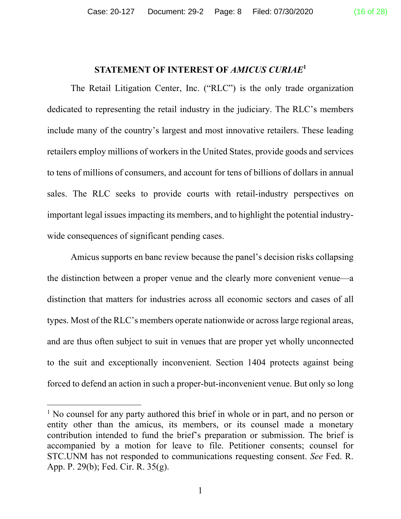# **STATEMENT OF INTEREST OF** *AMICUS CURIAE***<sup>1</sup>**

The Retail Litigation Center, Inc. ("RLC") is the only trade organization dedicated to representing the retail industry in the judiciary. The RLC's members include many of the country's largest and most innovative retailers. These leading retailers employ millions of workers in the United States, provide goods and services to tens of millions of consumers, and account for tens of billions of dollars in annual sales. The RLC seeks to provide courts with retail-industry perspectives on important legal issues impacting its members, and to highlight the potential industrywide consequences of significant pending cases.

Amicus supports en banc review because the panel's decision risks collapsing the distinction between a proper venue and the clearly more convenient venue—a distinction that matters for industries across all economic sectors and cases of all types. Most of the RLC's members operate nationwide or across large regional areas, and are thus often subject to suit in venues that are proper yet wholly unconnected to the suit and exceptionally inconvenient. Section 1404 protects against being forced to defend an action in such a proper-but-inconvenient venue. But only so long

<sup>&</sup>lt;sup>1</sup> No counsel for any party authored this brief in whole or in part, and no person or entity other than the amicus, its members, or its counsel made a monetary contribution intended to fund the brief's preparation or submission. The brief is accompanied by a motion for leave to file. Petitioner consents; counsel for STC.UNM has not responded to communications requesting consent. *See* Fed. R. App. P. 29(b); Fed. Cir. R. 35(g).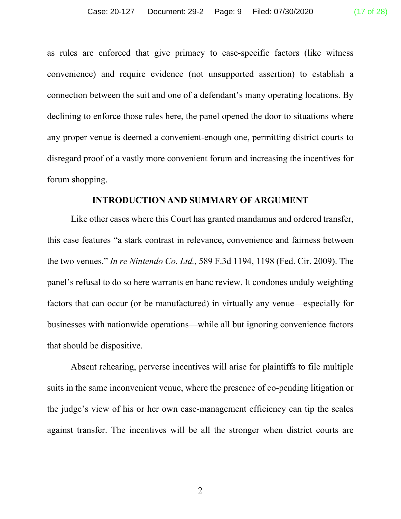as rules are enforced that give primacy to case-specific factors (like witness convenience) and require evidence (not unsupported assertion) to establish a connection between the suit and one of a defendant's many operating locations. By declining to enforce those rules here, the panel opened the door to situations where any proper venue is deemed a convenient-enough one, permitting district courts to disregard proof of a vastly more convenient forum and increasing the incentives for forum shopping.

### **INTRODUCTION AND SUMMARY OF ARGUMENT**

Like other cases where this Court has granted mandamus and ordered transfer, this case features "a stark contrast in relevance, convenience and fairness between the two venues." *In re Nintendo Co. Ltd.,* 589 F.3d 1194, 1198 (Fed. Cir. 2009). The panel's refusal to do so here warrants en banc review. It condones unduly weighting factors that can occur (or be manufactured) in virtually any venue—especially for businesses with nationwide operations—while all but ignoring convenience factors that should be dispositive.

Absent rehearing, perverse incentives will arise for plaintiffs to file multiple suits in the same inconvenient venue, where the presence of co-pending litigation or the judge's view of his or her own case-management efficiency can tip the scales against transfer. The incentives will be all the stronger when district courts are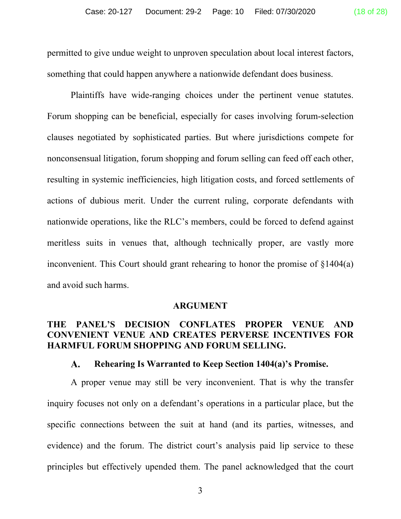permitted to give undue weight to unproven speculation about local interest factors, something that could happen anywhere a nationwide defendant does business.

Plaintiffs have wide-ranging choices under the pertinent venue statutes. Forum shopping can be beneficial, especially for cases involving forum-selection clauses negotiated by sophisticated parties. But where jurisdictions compete for nonconsensual litigation, forum shopping and forum selling can feed off each other, resulting in systemic inefficiencies, high litigation costs, and forced settlements of actions of dubious merit. Under the current ruling, corporate defendants with nationwide operations, like the RLC's members, could be forced to defend against meritless suits in venues that, although technically proper, are vastly more inconvenient. This Court should grant rehearing to honor the promise of §1404(a) and avoid such harms.

#### **ARGUMENT**

## **THE PANEL'S DECISION CONFLATES PROPER VENUE AND CONVENIENT VENUE AND CREATES PERVERSE INCENTIVES FOR HARMFUL FORUM SHOPPING AND FORUM SELLING.**

#### $\mathbf{A}$ . **Rehearing Is Warranted to Keep Section 1404(a)'s Promise.**

A proper venue may still be very inconvenient. That is why the transfer inquiry focuses not only on a defendant's operations in a particular place, but the specific connections between the suit at hand (and its parties, witnesses, and evidence) and the forum. The district court's analysis paid lip service to these principles but effectively upended them. The panel acknowledged that the court

3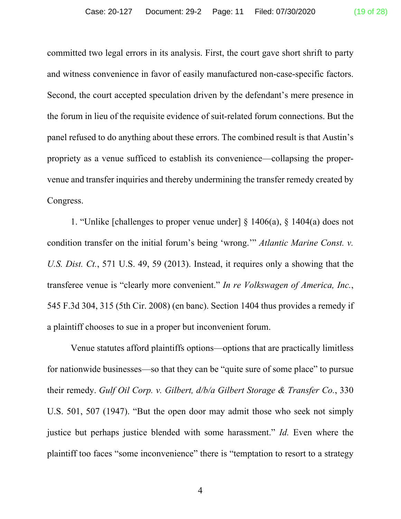committed two legal errors in its analysis. First, the court gave short shrift to party and witness convenience in favor of easily manufactured non-case-specific factors. Second, the court accepted speculation driven by the defendant's mere presence in the forum in lieu of the requisite evidence of suit-related forum connections. But the panel refused to do anything about these errors. The combined result is that Austin's propriety as a venue sufficed to establish its convenience—collapsing the propervenue and transfer inquiries and thereby undermining the transfer remedy created by Congress.

1. "Unlike [challenges to proper venue under] § 1406(a), § 1404(a) does not condition transfer on the initial forum's being 'wrong.'" *Atlantic Marine Const. v. U.S. Dist. Ct.*, 571 U.S. 49, 59 (2013). Instead, it requires only a showing that the transferee venue is "clearly more convenient." *In re Volkswagen of America, Inc.*, 545 F.3d 304, 315 (5th Cir. 2008) (en banc). Section 1404 thus provides a remedy if a plaintiff chooses to sue in a proper but inconvenient forum.

Venue statutes afford plaintiffs options—options that are practically limitless for nationwide businesses—so that they can be "quite sure of some place" to pursue their remedy. *Gulf Oil Corp. v. Gilbert, d/b/a Gilbert Storage & Transfer Co.*, 330 U.S. 501, 507 (1947). "But the open door may admit those who seek not simply justice but perhaps justice blended with some harassment." *Id.* Even where the plaintiff too faces "some inconvenience" there is "temptation to resort to a strategy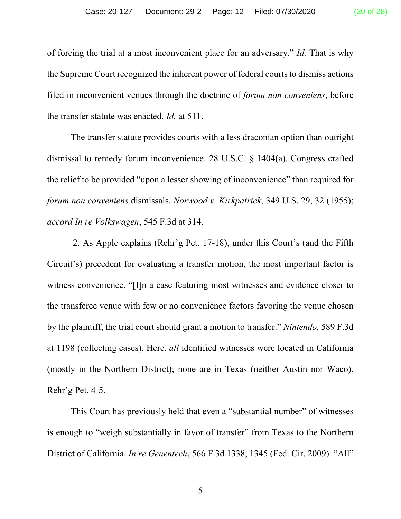of forcing the trial at a most inconvenient place for an adversary." *Id.* That is why the Supreme Court recognized the inherent power of federal courts to dismiss actions filed in inconvenient venues through the doctrine of *forum non conveniens*, before the transfer statute was enacted. *Id.* at 511.

The transfer statute provides courts with a less draconian option than outright dismissal to remedy forum inconvenience. 28 U.S.C. § 1404(a). Congress crafted the relief to be provided "upon a lesser showing of inconvenience" than required for *forum non conveniens* dismissals. *Norwood v. Kirkpatrick*, 349 U.S. 29, 32 (1955); *accord In re Volkswagen*, 545 F.3d at 314.

 2. As Apple explains (Rehr'g Pet. 17-18), under this Court's (and the Fifth Circuit's) precedent for evaluating a transfer motion, the most important factor is witness convenience. "[I]n a case featuring most witnesses and evidence closer to the transferee venue with few or no convenience factors favoring the venue chosen by the plaintiff, the trial court should grant a motion to transfer." *Nintendo,* 589 F.3d at 1198 (collecting cases). Here, *all* identified witnesses were located in California (mostly in the Northern District); none are in Texas (neither Austin nor Waco). Rehr'g Pet. 4-5.

This Court has previously held that even a "substantial number" of witnesses is enough to "weigh substantially in favor of transfer" from Texas to the Northern District of California. *In re Genentech*, 566 F.3d 1338, 1345 (Fed. Cir. 2009). "All"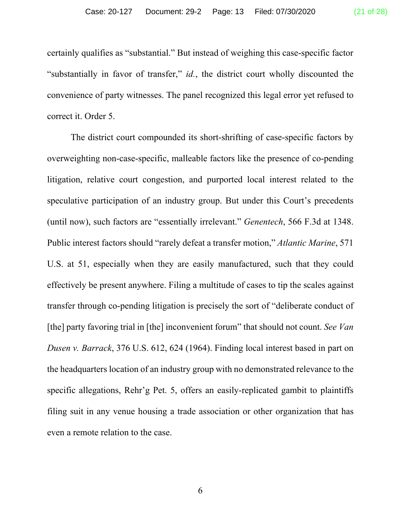certainly qualifies as "substantial." But instead of weighing this case-specific factor "substantially in favor of transfer," *id.*, the district court wholly discounted the

convenience of party witnesses. The panel recognized this legal error yet refused to correct it. Order 5.

The district court compounded its short-shrifting of case-specific factors by overweighting non-case-specific, malleable factors like the presence of co-pending litigation, relative court congestion, and purported local interest related to the speculative participation of an industry group. But under this Court's precedents (until now), such factors are "essentially irrelevant." *Genentech*, 566 F.3d at 1348. Public interest factors should "rarely defeat a transfer motion," *Atlantic Marine*, 571 U.S. at 51, especially when they are easily manufactured, such that they could effectively be present anywhere. Filing a multitude of cases to tip the scales against transfer through co-pending litigation is precisely the sort of "deliberate conduct of [the] party favoring trial in [the] inconvenient forum" that should not count. *See Van Dusen v. Barrack*, 376 U.S. 612, 624 (1964). Finding local interest based in part on the headquarters location of an industry group with no demonstrated relevance to the specific allegations, Rehr'g Pet. 5, offers an easily-replicated gambit to plaintiffs filing suit in any venue housing a trade association or other organization that has even a remote relation to the case.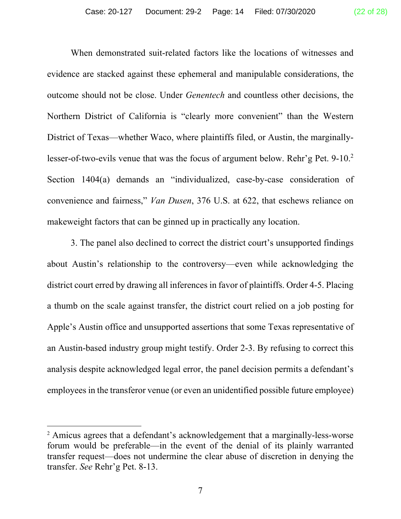When demonstrated suit-related factors like the locations of witnesses and evidence are stacked against these ephemeral and manipulable considerations, the outcome should not be close. Under *Genentech* and countless other decisions, the Northern District of California is "clearly more convenient" than the Western District of Texas—whether Waco, where plaintiffs filed, or Austin, the marginallylesser-of-two-evils venue that was the focus of argument below. Rehr'g Pet. 9-10.2 Section 1404(a) demands an "individualized, case-by-case consideration of convenience and fairness," *Van Dusen*, 376 U.S. at 622, that eschews reliance on makeweight factors that can be ginned up in practically any location.

3. The panel also declined to correct the district court's unsupported findings about Austin's relationship to the controversy—even while acknowledging the district court erred by drawing all inferences in favor of plaintiffs. Order 4-5. Placing a thumb on the scale against transfer, the district court relied on a job posting for Apple's Austin office and unsupported assertions that some Texas representative of an Austin-based industry group might testify. Order 2-3. By refusing to correct this analysis despite acknowledged legal error, the panel decision permits a defendant's employees in the transferor venue (or even an unidentified possible future employee)

<sup>2</sup> Amicus agrees that a defendant's acknowledgement that a marginally-less-worse forum would be preferable—in the event of the denial of its plainly warranted transfer request—does not undermine the clear abuse of discretion in denying the transfer. *See* Rehr'g Pet. 8-13.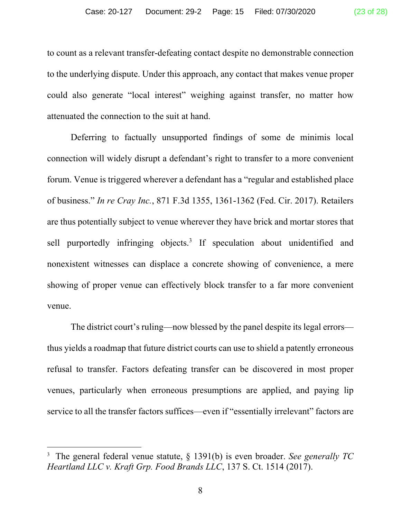to count as a relevant transfer-defeating contact despite no demonstrable connection to the underlying dispute. Under this approach, any contact that makes venue proper could also generate "local interest" weighing against transfer, no matter how attenuated the connection to the suit at hand.

Deferring to factually unsupported findings of some de minimis local connection will widely disrupt a defendant's right to transfer to a more convenient forum. Venue is triggered wherever a defendant has a "regular and established place of business." *In re Cray Inc.*, 871 F.3d 1355, 1361-1362 (Fed. Cir. 2017). Retailers are thus potentially subject to venue wherever they have brick and mortar stores that sell purportedly infringing objects.<sup>3</sup> If speculation about unidentified and nonexistent witnesses can displace a concrete showing of convenience, a mere showing of proper venue can effectively block transfer to a far more convenient venue.

The district court's ruling—now blessed by the panel despite its legal errors thus yields a roadmap that future district courts can use to shield a patently erroneous refusal to transfer. Factors defeating transfer can be discovered in most proper venues, particularly when erroneous presumptions are applied, and paying lip service to all the transfer factors suffices—even if "essentially irrelevant" factors are

<sup>3</sup> The general federal venue statute, § 1391(b) is even broader. *See generally TC Heartland LLC v. Kraft Grp. Food Brands LLC*, 137 S. Ct. 1514 (2017).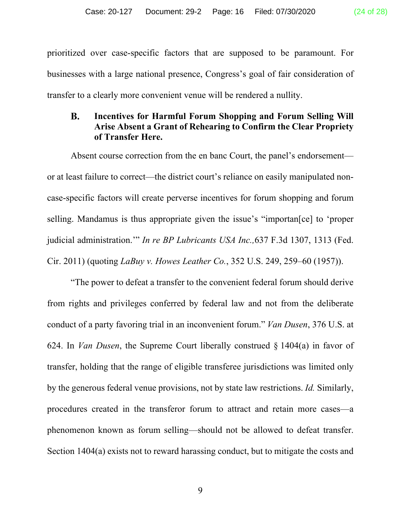prioritized over case-specific factors that are supposed to be paramount. For businesses with a large national presence, Congress's goal of fair consideration of transfer to a clearly more convenient venue will be rendered a nullity.

#### **B. Incentives for Harmful Forum Shopping and Forum Selling Will Arise Absent a Grant of Rehearing to Confirm the Clear Propriety of Transfer Here.**

Absent course correction from the en banc Court, the panel's endorsement or at least failure to correct—the district court's reliance on easily manipulated noncase-specific factors will create perverse incentives for forum shopping and forum selling. Mandamus is thus appropriate given the issue's "importan[ce] to 'proper judicial administration.'" *In re BP Lubricants USA Inc.,*637 F.3d 1307, 1313 (Fed. Cir. 2011) (quoting *LaBuy v. Howes Leather Co.*, 352 U.S. 249, 259–60 (1957)).

"The power to defeat a transfer to the convenient federal forum should derive from rights and privileges conferred by federal law and not from the deliberate conduct of a party favoring trial in an inconvenient forum." *Van Dusen*, 376 U.S. at 624. In *Van Dusen*, the Supreme Court liberally construed § 1404(a) in favor of transfer, holding that the range of eligible transferee jurisdictions was limited only by the generous federal venue provisions, not by state law restrictions. *Id.* Similarly, procedures created in the transferor forum to attract and retain more cases—a phenomenon known as forum selling—should not be allowed to defeat transfer. Section 1404(a) exists not to reward harassing conduct, but to mitigate the costs and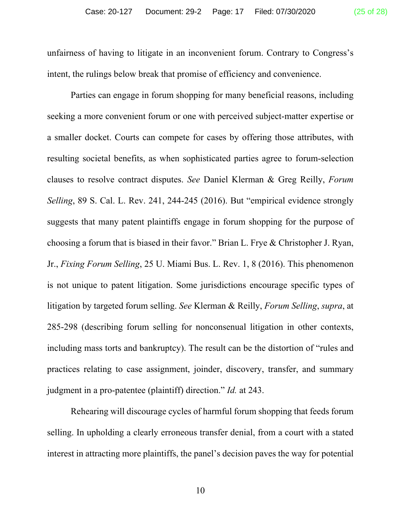unfairness of having to litigate in an inconvenient forum. Contrary to Congress's intent, the rulings below break that promise of efficiency and convenience.

Parties can engage in forum shopping for many beneficial reasons, including seeking a more convenient forum or one with perceived subject-matter expertise or a smaller docket. Courts can compete for cases by offering those attributes, with resulting societal benefits, as when sophisticated parties agree to forum-selection clauses to resolve contract disputes. *See* Daniel Klerman & Greg Reilly, *Forum Selling*, 89 S. Cal. L. Rev. 241, 244-245 (2016). But "empirical evidence strongly suggests that many patent plaintiffs engage in forum shopping for the purpose of choosing a forum that is biased in their favor." Brian L. Frye & Christopher J. Ryan, Jr., *Fixing Forum Selling*, 25 U. Miami Bus. L. Rev. 1, 8 (2016). This phenomenon is not unique to patent litigation. Some jurisdictions encourage specific types of litigation by targeted forum selling. *See* Klerman & Reilly, *Forum Selling*, *supra*, at 285-298 (describing forum selling for nonconsenual litigation in other contexts, including mass torts and bankruptcy). The result can be the distortion of "rules and practices relating to case assignment, joinder, discovery, transfer, and summary judgment in a pro-patentee (plaintiff) direction." *Id.* at 243.

Rehearing will discourage cycles of harmful forum shopping that feeds forum selling. In upholding a clearly erroneous transfer denial, from a court with a stated interest in attracting more plaintiffs, the panel's decision paves the way for potential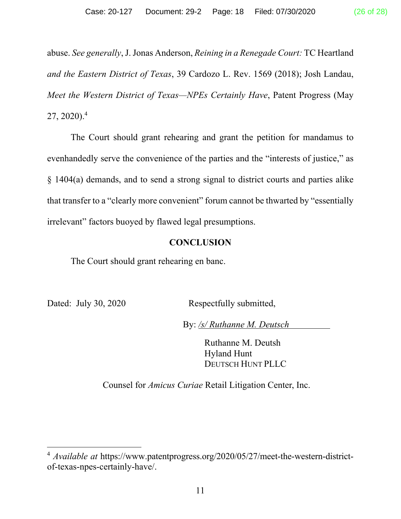abuse. *See generally*, J. Jonas Anderson, *Reining in a Renegade Court:* TC Heartland *and the Eastern District of Texas*, 39 Cardozo L. Rev. 1569 (2018); Josh Landau, *Meet the Western District of Texas—NPEs Certainly Have*, Patent Progress (May  $27, 2020$ <sup>4</sup>

The Court should grant rehearing and grant the petition for mandamus to evenhandedly serve the convenience of the parties and the "interests of justice," as § 1404(a) demands, and to send a strong signal to district courts and parties alike that transfer to a "clearly more convenient" forum cannot be thwarted by "essentially irrelevant" factors buoyed by flawed legal presumptions.

### **CONCLUSION**

The Court should grant rehearing en banc.

Dated: July 30, 2020 Respectfully submitted,

By: */s/ Ruthanne M. Deutsch* 

 Ruthanne M. Deutsh Hyland Hunt DEUTSCH HUNT PLLC

Counsel for *Amicus Curiae* Retail Litigation Center, Inc.

<sup>4</sup> *Available at* https://www.patentprogress.org/2020/05/27/meet-the-western-districtof-texas-npes-certainly-have/.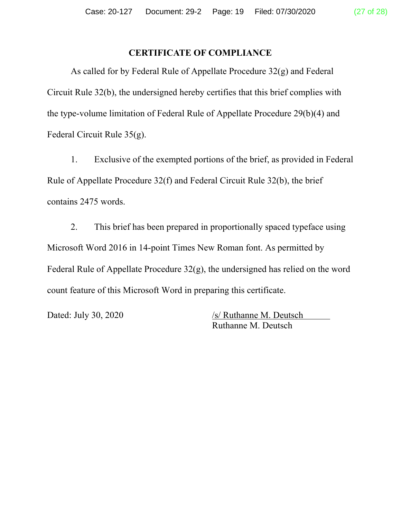### **CERTIFICATE OF COMPLIANCE**

As called for by Federal Rule of Appellate Procedure 32(g) and Federal Circuit Rule 32(b), the undersigned hereby certifies that this brief complies with the type-volume limitation of Federal Rule of Appellate Procedure 29(b)(4) and Federal Circuit Rule 35(g).

1. Exclusive of the exempted portions of the brief, as provided in Federal Rule of Appellate Procedure 32(f) and Federal Circuit Rule 32(b), the brief contains 2475 words.

2. This brief has been prepared in proportionally spaced typeface using Microsoft Word 2016 in 14-point Times New Roman font. As permitted by Federal Rule of Appellate Procedure  $32(g)$ , the undersigned has relied on the word count feature of this Microsoft Word in preparing this certificate.

Dated: July 30, 2020 /s/ Ruthanne M. Deutsch Ruthanne M. Deutsch